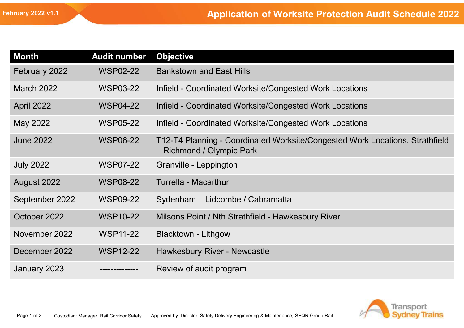|                   |                     | <b>Application of Worksite Protection Audit Schedule 2022</b>                                             |
|-------------------|---------------------|-----------------------------------------------------------------------------------------------------------|
|                   |                     |                                                                                                           |
| <b>Month</b>      | <b>Audit number</b> | <b>Objective</b>                                                                                          |
| February 2022     | <b>WSP02-22</b>     | <b>Bankstown and East Hills</b>                                                                           |
| <b>March 2022</b> | <b>WSP03-22</b>     | Infield - Coordinated Worksite/Congested Work Locations                                                   |
| April 2022        | <b>WSP04-22</b>     | Infield - Coordinated Worksite/Congested Work Locations                                                   |
| May 2022          | <b>WSP05-22</b>     | Infield - Coordinated Worksite/Congested Work Locations                                                   |
| <b>June 2022</b>  | <b>WSP06-22</b>     | T12-T4 Planning - Coordinated Worksite/Congested Work Locations, Strathfield<br>- Richmond / Olympic Park |
| <b>July 2022</b>  | <b>WSP07-22</b>     | Granville - Leppington                                                                                    |
| August 2022       | <b>WSP08-22</b>     | Turrella - Macarthur                                                                                      |
| September 2022    | <b>WSP09-22</b>     | Sydenham - Lidcombe / Cabramatta                                                                          |
| October 2022      | <b>WSP10-22</b>     | Milsons Point / Nth Strathfield - Hawkesbury River                                                        |
| November 2022     | <b>WSP11-22</b>     | <b>Blacktown - Lithgow</b>                                                                                |
| December 2022     | <b>WSP12-22</b>     | Hawkesbury River - Newcastle                                                                              |
| January 2023      |                     | Review of audit program                                                                                   |